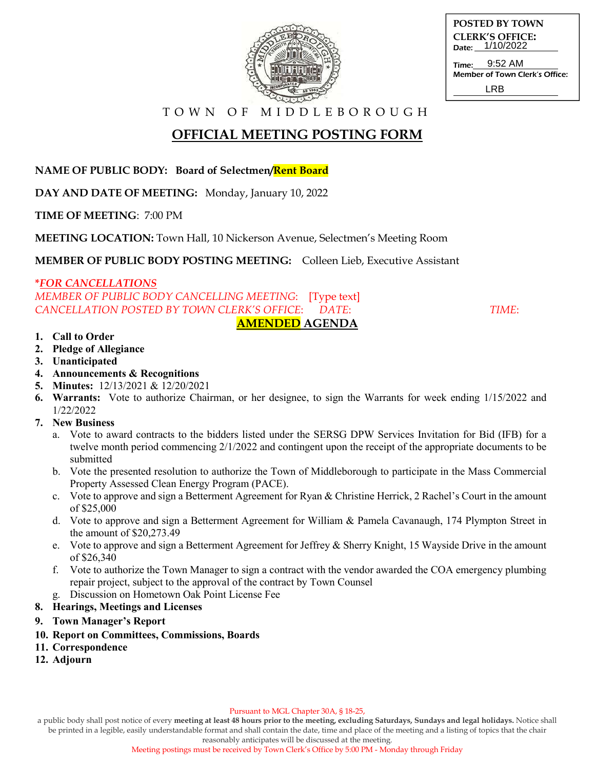

| <b>POSTED BY TOWN</b>  |
|------------------------|
| <b>CLERK'S OFFICE:</b> |
| Date: 1/10/2022        |
| 0.50.11                |

Time: Member of Town Clerk's Office: 9:52 AM LRB

T O W N O F M I D D L E B O R O U G H

# **OFFICIAL MEETING POSTING FORM**

**NAME OF PUBLIC BODY: Board of Selectmen/Rent Board**

**DAY AND DATE OF MEETING:** Monday, January 10, 2022

**TIME OF MEETING**: 7:00 PM

**MEETING LOCATION:** Town Hall, 10 Nickerson Avenue, Selectmen's Meeting Room

**MEMBER OF PUBLIC BODY POSTING MEETING:** Colleen Lieb, Executive Assistant

### **\****FOR CANCELLATIONS*

*MEMBER OF PUBLIC BODY CANCELLING MEETING*: [Type text] *CANCELLATION POSTED BY TOWN CLERK'S OFFICE*: *DATE*: *TIME*: **AMENDED AGENDA** 

#### **1. Call to Order**

- **2. Pledge of Allegiance**
- **3. Unanticipated**
- **4. Announcements & Recognitions**
- **5. Minutes:** 12/13/2021 & 12/20/2021
- **6. Warrants:** Vote to authorize Chairman, or her designee, to sign the Warrants for week ending 1/15/2022 and 1/22/2022
- **7. New Business**
	- a. Vote to award contracts to the bidders listed under the SERSG DPW Services Invitation for Bid (IFB) for a twelve month period commencing 2/1/2022 and contingent upon the receipt of the appropriate documents to be submitted
	- b. Vote the presented resolution to authorize the Town of Middleborough to participate in the Mass Commercial Property Assessed Clean Energy Program (PACE).
	- c. Vote to approve and sign a Betterment Agreement for Ryan & Christine Herrick, 2 Rachel's Court in the amount of \$25,000
	- d. Vote to approve and sign a Betterment Agreement for William & Pamela Cavanaugh, 174 Plympton Street in the amount of \$20,273.49
	- e. Vote to approve and sign a Betterment Agreement for Jeffrey & Sherry Knight, 15 Wayside Drive in the amount of \$26,340
	- f. Vote to authorize the Town Manager to sign a contract with the vendor awarded the COA emergency plumbing repair project, subject to the approval of the contract by Town Counsel
	- g. Discussion on Hometown Oak Point License Fee
- **8. Hearings, Meetings and Licenses**
- **9. Town Manager's Report**
- **10. Report on Committees, Commissions, Boards**
- **11. Correspondence**
- **12. Adjourn**

a public body shall post notice of every **meeting at least 48 hours prior to the meeting, excluding Saturdays, Sundays and legal holidays.** Notice shall be printed in a legible, easily understandable format and shall contain the date, time and place of the meeting and a listing of topics that the chair

reasonably anticipates will be discussed at the meeting.